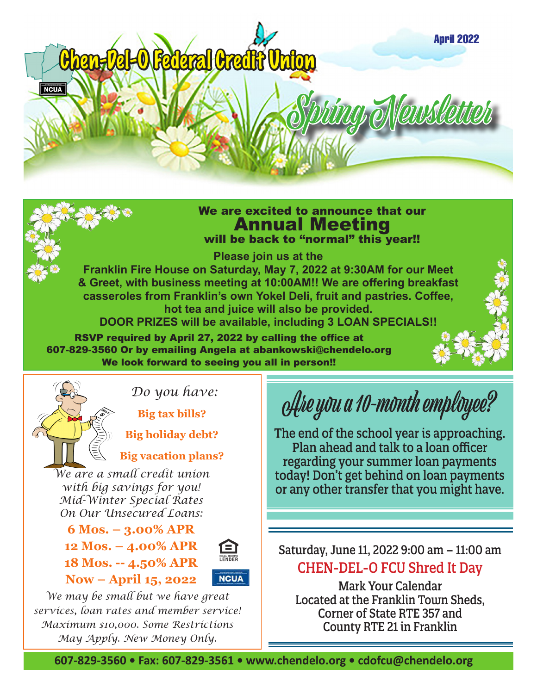

### We are excited to announce that our Annual Meeting will be back to "normal" this year!!

**Please join us at the** 

**Franklin Fire House on Saturday, May 7, 2022 at 9:30AM for our Meet & Greet, with business meeting at 10:00AM!! We are offering breakfast casseroles from Franklin's own Yokel Deli, fruit and pastries. Coffee, hot tea and juice will also be provided. DOOR PRIZES will be available, including 3 LOAN SPECIALS!!**

RSVP required by April 27, 2022 by calling the office at 607-829-3560 Or by emailing Angela at abankowski@chendelo.org

We look forward to seeing you all in person!!



*Do you have:* 

**Big tax bills?** 

 **Big holiday debt?** 

### **Big vacation plans?**

*We are a small credit union with big savings for you! Mid-Winter Special Rates On Our Unsecured Loans:*

**6 Mos. – 3.00% APR 12 Mos. – 4.00% APR 18 Mos. -- 4.50% APR Now – April 15, 2022** 



*We may be small but we have great services, loan rates and member service! Maximum \$10,000. Some Restrictions May Apply. New Money Only.* 

Are you a 10-month employee?

The end of the school year is approaching. Plan ahead and talk to a loan officer regarding your summer loan payments today! Don't get behind on loan payments or any other transfer that you might have.

Saturday, June 11, 2022 9:00 am – 11:00 am CHEN-DEL-O FCU Shred It Day

Mark Your Calendar Located at the Franklin Town Sheds, Corner of State RTE 357 and County RTE 21 in Franklin

**607-829-3560 • Fax: 607-829-3561 • www.chendelo.org • cdofcu@chendelo.org**